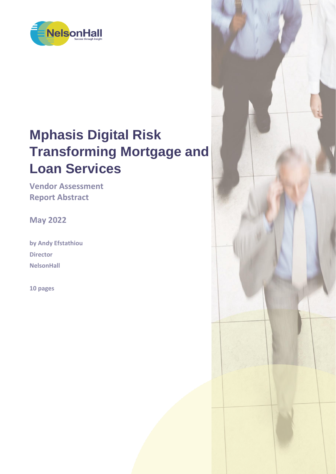

# **Mphasis Digital Risk Transforming Mortgage and Loan Services**

**Vendor Assessment Report Abstract**

**May 2022**

**by Andy Efstathiou Director NelsonHall**

**10 pages**

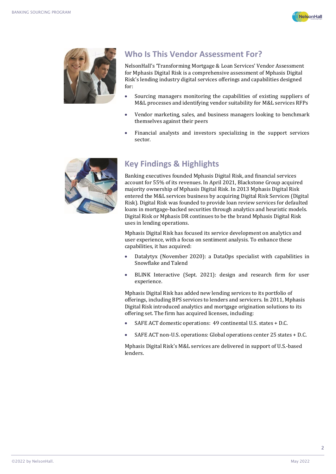



## **Who Is This Vendor Assessment For?**

NelsonHall's 'Transforming Mortgage & Loan Services' Vendor Assessment for Mphasis Digital Risk is a comprehensive assessment of Mphasis Digital Risk's lending industry digital services offerings and capabilities designed for:

- Sourcing managers monitoring the capabilities of existing suppliers of M&L processes and identifying vendor suitability for M&L services RFPs
- Vendor marketing, sales, and business managers looking to benchmark themselves against their peers
- Financial analysts and investors specializing in the support services sector.



# **Key Findings & Highlights**

Banking executives founded Mphasis Digital Risk, and financial services account for 55% of its revenues. In April 2021, Blackstone Group acquired majority ownership of Mphasis Digital Risk. In 2013 Mphasis Digital Risk entered the M&L services business by acquiring Digital Risk Services (Digital Risk). Digital Risk was founded to provide loan review services for defaulted loans in mortgage-backed securities through analytics and heuristic models. Digital Risk or Mphasis DR continues to be the brand Mphasis Digital Risk uses in lending operations.

Mphasis Digital Risk has focused its service development on analytics and user experience, with a focus on sentiment analysis. To enhance these capabilities, it has acquired:

- Datalytyx (November 2020): a DataOps specialist with capabilities in Snowflake and Talend
- BLINK Interactive (Sept. 2021): design and research firm for user experience.

Mphasis Digital Risk has added new lending services to its portfolio of offerings, including BPS services to lenders and servicers. In 2011, Mphasis Digital Risk introduced analytics and mortgage origination solutions to its offering set. The firm has acquired licenses, including:

- SAFE ACT domestic operations: 49 continental U.S. states + D.C.
- SAFE ACT non-U.S. operations: Global operations center 25 states + D.C.

Mphasis Digital Risk's M&L services are delivered in support of U.S.-based lenders.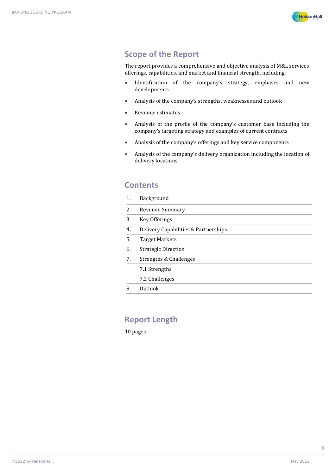

### **Scope of the Report**

The report provides a comprehensive and objective analysis of M&L services offerings, capabilities, and market and financial strength, including:

- Identification of the company's strategy, emphases and new developments
- Analysis of the company's strengths, weaknesses and outlook
- Revenue estimates
- Analysis of the profile of the company's customer base including the company's targeting strategy and examples of current contracts
- Analysis of the company's offerings and key service components
- Analysis of the company's delivery organization including the location of delivery locations.

#### **Contents**

| 1. | Background                           |
|----|--------------------------------------|
| 2. | <b>Revenue Summary</b>               |
| 3. | Key Offerings                        |
| 4. | Delivery Capabilities & Partnerships |
| 5. | <b>Target Markets</b>                |
| 6. | <b>Strategic Direction</b>           |
| 7. | Strengths & Challenges               |
|    | 7.1 Strengths                        |
|    | 7.2 Challenges                       |
| 8. | Outlook                              |

#### **Report Length**

10 pages